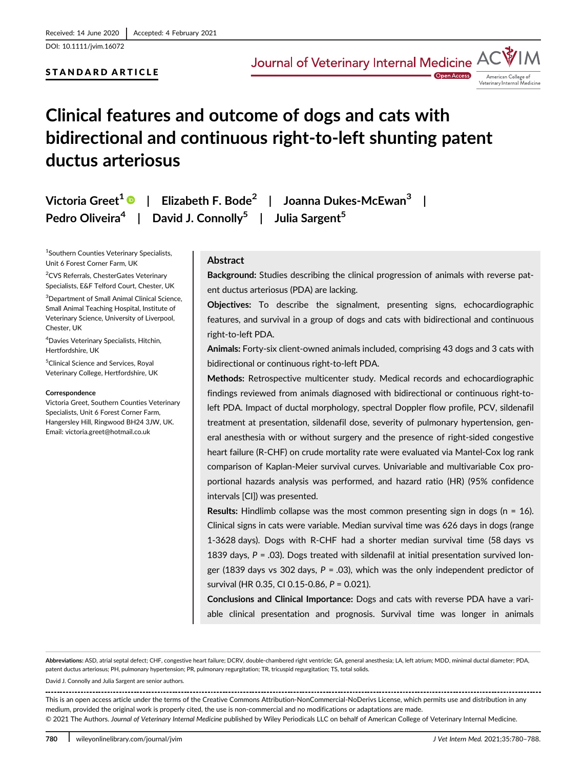DOI: 10.1111/jvim.16072

## STANDARD ARTICLE

Journal of Veterinary Internal Medicine A



**Open Access** 

# Clinical features and outcome of dogs and cats with bidirectional and continuous right-to-left shunting patent ductus arteriosus

Victoria Greet<sup>1</sup>  $\bullet$  | Elizabeth F. Bode<sup>2</sup> | Joanna Dukes-McEwan<sup>3</sup> | Pedro Oliveira<sup>4</sup> | David J. Connolly<sup>5</sup> | Julia Sargent<sup>5</sup>

1 Southern Counties Veterinary Specialists, Unit 6 Forest Corner Farm, UK

<sup>2</sup>CVS Referrals, ChesterGates Veterinary Specialists, E&F Telford Court, Chester, UK

<sup>3</sup>Department of Small Animal Clinical Science, Small Animal Teaching Hospital, Institute of Veterinary Science, University of Liverpool, Chester, UK

4 Davies Veterinary Specialists, Hitchin, Hertfordshire, UK

5 Clinical Science and Services, Royal Veterinary College, Hertfordshire, UK

#### **Correspondence**

Victoria Greet, Southern Counties Veterinary Specialists, Unit 6 Forest Corner Farm, Hangersley Hill, Ringwood BH24 3JW, UK. Email: [victoria.greet@hotmail.co.uk](mailto:victoria.greet@hotmail.co.uk)

## Abstract

Background: Studies describing the clinical progression of animals with reverse patent ductus arteriosus (PDA) are lacking.

Objectives: To describe the signalment, presenting signs, echocardiographic features, and survival in a group of dogs and cats with bidirectional and continuous right-to-left PDA.

Animals: Forty-six client-owned animals included, comprising 43 dogs and 3 cats with bidirectional or continuous right-to-left PDA.

Methods: Retrospective multicenter study. Medical records and echocardiographic findings reviewed from animals diagnosed with bidirectional or continuous right-toleft PDA. Impact of ductal morphology, spectral Doppler flow profile, PCV, sildenafil treatment at presentation, sildenafil dose, severity of pulmonary hypertension, general anesthesia with or without surgery and the presence of right-sided congestive heart failure (R-CHF) on crude mortality rate were evaluated via Mantel-Cox log rank comparison of Kaplan-Meier survival curves. Univariable and multivariable Cox proportional hazards analysis was performed, and hazard ratio (HR) (95% confidence intervals [CI]) was presented.

Results: Hindlimb collapse was the most common presenting sign in dogs ( $n = 16$ ). Clinical signs in cats were variable. Median survival time was 626 days in dogs (range 1-3628 days). Dogs with R-CHF had a shorter median survival time (58 days vs 1839 days,  $P = .03$ ). Dogs treated with sildenafil at initial presentation survived longer (1839 days vs 302 days,  $P = .03$ ), which was the only independent predictor of survival (HR 0.35, CI 0.15-0.86, P = 0.021).

Conclusions and Clinical Importance: Dogs and cats with reverse PDA have a variable clinical presentation and prognosis. Survival time was longer in animals

Abbreviations: ASD, atrial septal defect; CHF, congestive heart failure; DCRV, double-chambered right ventricle; GA, general anesthesia; LA, left atrium; MDD, minimal ductal diameter; PDA, patent ductus arteriosus; PH, pulmonary hypertension; PR, pulmonary regurgitation; TR, tricuspid regurgitation; TS, total solids.

David J. Connolly and Julia Sargent are senior authors.

This is an open access article under the terms of the [Creative Commons Attribution-NonCommercial-NoDerivs](http://creativecommons.org/licenses/by-nc-nd/4.0/) License, which permits use and distribution in any medium, provided the original work is properly cited, the use is non-commercial and no modifications or adaptations are made.

© 2021 The Authors. Journal of Veterinary Internal Medicine published by Wiley Periodicals LLC on behalf of American College of Veterinary Internal Medicine.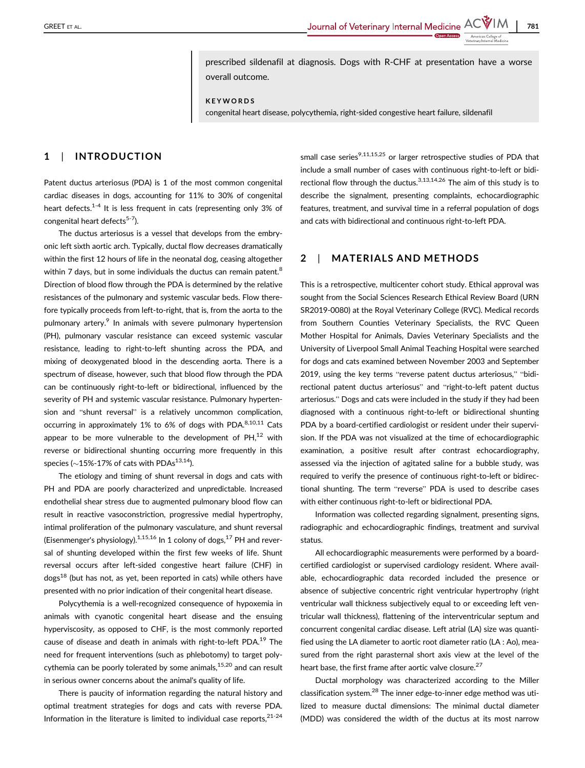prescribed sildenafil at diagnosis. Dogs with R-CHF at presentation have a worse overall outcome.

KEYWORDS

congenital heart disease, polycythemia, right-sided congestive heart failure, sildenafil

## 1 | INTRODUCTION

Patent ductus arteriosus (PDA) is 1 of the most common congenital cardiac diseases in dogs, accounting for 11% to 30% of congenital heart defects.<sup>1-4</sup> It is less frequent in cats (representing only 3% of congenital heart defects $5-7$ ).

The ductus arteriosus is a vessel that develops from the embryonic left sixth aortic arch. Typically, ductal flow decreases dramatically within the first 12 hours of life in the neonatal dog, ceasing altogether within 7 days, but in some individuals the ductus can remain patent.<sup>8</sup> Direction of blood flow through the PDA is determined by the relative resistances of the pulmonary and systemic vascular beds. Flow therefore typically proceeds from left-to-right, that is, from the aorta to the pulmonary artery.<sup>9</sup> In animals with severe pulmonary hypertension (PH), pulmonary vascular resistance can exceed systemic vascular resistance, leading to right-to-left shunting across the PDA, and mixing of deoxygenated blood in the descending aorta. There is a spectrum of disease, however, such that blood flow through the PDA can be continuously right-to-left or bidirectional, influenced by the severity of PH and systemic vascular resistance. Pulmonary hypertension and "shunt reversal" is a relatively uncommon complication, occurring in approximately 1% to 6% of dogs with PDA. $8,10,11$  Cats appear to be more vulnerable to the development of  $PH<sup>12</sup>$  with reverse or bidirectional shunting occurring more frequently in this species ( $\sim$ 15%-17% of cats with PDAs<sup>13,14</sup>).

The etiology and timing of shunt reversal in dogs and cats with PH and PDA are poorly characterized and unpredictable. Increased endothelial shear stress due to augmented pulmonary blood flow can result in reactive vasoconstriction, progressive medial hypertrophy, intimal proliferation of the pulmonary vasculature, and shunt reversal (Eisenmenger's physiology).<sup>1,15,16</sup> In 1 colony of dogs,<sup>17</sup> PH and reversal of shunting developed within the first few weeks of life. Shunt reversal occurs after left-sided congestive heart failure (CHF) in  $dogs<sup>18</sup>$  (but has not, as yet, been reported in cats) while others have presented with no prior indication of their congenital heart disease.

Polycythemia is a well-recognized consequence of hypoxemia in animals with cyanotic congenital heart disease and the ensuing hyperviscosity, as opposed to CHF, is the most commonly reported cause of disease and death in animals with right-to-left PDA.<sup>19</sup> The need for frequent interventions (such as phlebotomy) to target polycythemia can be poorly tolerated by some animals,  $15,20$  and can result in serious owner concerns about the animal's quality of life.

There is paucity of information regarding the natural history and optimal treatment strategies for dogs and cats with reverse PDA. Information in the literature is limited to individual case reports, $2^{1-24}$  small case series<sup>9,11,15,25</sup> or larger retrospective studies of PDA that include a small number of cases with continuous right-to-left or bidirectional flow through the ductus.<sup>3,13,14,26</sup> The aim of this study is to describe the signalment, presenting complaints, echocardiographic features, treatment, and survival time in a referral population of dogs and cats with bidirectional and continuous right-to-left PDA.

## 2 | MATERIALS AND METHODS

This is a retrospective, multicenter cohort study. Ethical approval was sought from the Social Sciences Research Ethical Review Board (URN SR2019-0080) at the Royal Veterinary College (RVC). Medical records from Southern Counties Veterinary Specialists, the RVC Queen Mother Hospital for Animals, Davies Veterinary Specialists and the University of Liverpool Small Animal Teaching Hospital were searched for dogs and cats examined between November 2003 and September 2019, using the key terms "reverse patent ductus arteriosus," "bidirectional patent ductus arteriosus" and "right-to-left patent ductus arteriosus." Dogs and cats were included in the study if they had been diagnosed with a continuous right-to-left or bidirectional shunting PDA by a board-certified cardiologist or resident under their supervision. If the PDA was not visualized at the time of echocardiographic examination, a positive result after contrast echocardiography, assessed via the injection of agitated saline for a bubble study, was required to verify the presence of continuous right-to-left or bidirectional shunting. The term "reverse" PDA is used to describe cases with either continuous right-to-left or bidirectional PDA.

Information was collected regarding signalment, presenting signs, radiographic and echocardiographic findings, treatment and survival status.

All echocardiographic measurements were performed by a boardcertified cardiologist or supervised cardiology resident. Where available, echocardiographic data recorded included the presence or absence of subjective concentric right ventricular hypertrophy (right ventricular wall thickness subjectively equal to or exceeding left ventricular wall thickness), flattening of the interventricular septum and concurrent congenital cardiac disease. Left atrial (LA) size was quantified using the LA diameter to aortic root diameter ratio (LA : Ao), measured from the right parasternal short axis view at the level of the heart base, the first frame after aortic valve closure.<sup>27</sup>

Ductal morphology was characterized according to the Miller classification system.28 The inner edge-to-inner edge method was utilized to measure ductal dimensions: The minimal ductal diameter (MDD) was considered the width of the ductus at its most narrow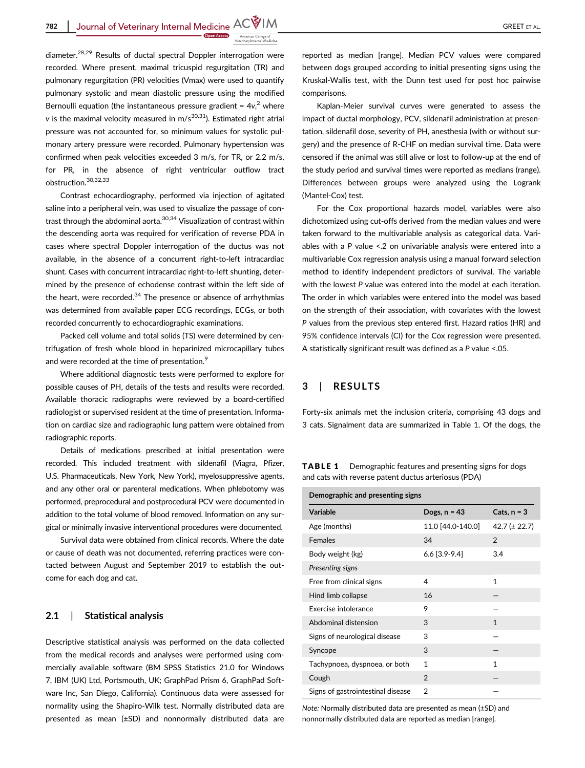**782** Journal of Veterinary Internal Medicine ACWIM

diameter.28,29 Results of ductal spectral Doppler interrogation were recorded. Where present, maximal tricuspid regurgitation (TR) and pulmonary regurgitation (PR) velocities (Vmax) were used to quantify pulmonary systolic and mean diastolic pressure using the modified Bernoulli equation (the instantaneous pressure gradient =  $4v<sub>1</sub><sup>2</sup>$  where v is the maximal velocity measured in  $m/s^{30,31}$ ). Estimated right atrial pressure was not accounted for, so minimum values for systolic pulmonary artery pressure were recorded. Pulmonary hypertension was confirmed when peak velocities exceeded 3 m/s, for TR, or 2.2 m/s, for PR, in the absence of right ventricular outflow tract obstruction.30,32,33

Contrast echocardiography, performed via injection of agitated saline into a peripheral vein, was used to visualize the passage of contrast through the abdominal aorta.<sup>30,34</sup> Visualization of contrast within the descending aorta was required for verification of reverse PDA in cases where spectral Doppler interrogation of the ductus was not available, in the absence of a concurrent right-to-left intracardiac shunt. Cases with concurrent intracardiac right-to-left shunting, determined by the presence of echodense contrast within the left side of the heart, were recorded. $34$  The presence or absence of arrhythmias was determined from available paper ECG recordings, ECGs, or both recorded concurrently to echocardiographic examinations.

Packed cell volume and total solids (TS) were determined by centrifugation of fresh whole blood in heparinized microcapillary tubes and were recorded at the time of presentation.<sup>9</sup>

Where additional diagnostic tests were performed to explore for possible causes of PH, details of the tests and results were recorded. Available thoracic radiographs were reviewed by a board-certified radiologist or supervised resident at the time of presentation. Information on cardiac size and radiographic lung pattern were obtained from radiographic reports.

Details of medications prescribed at initial presentation were recorded. This included treatment with sildenafil (Viagra, Pfizer, U.S. Pharmaceuticals, New York, New York), myelosuppressive agents, and any other oral or parenteral medications. When phlebotomy was performed, preprocedural and postprocedural PCV were documented in addition to the total volume of blood removed. Information on any surgical or minimally invasive interventional procedures were documented.

Survival data were obtained from clinical records. Where the date or cause of death was not documented, referring practices were contacted between August and September 2019 to establish the outcome for each dog and cat.

## 2.1 | Statistical analysis

Descriptive statistical analysis was performed on the data collected from the medical records and analyses were performed using commercially available software (BM SPSS Statistics 21.0 for Windows 7, IBM (UK) Ltd, Portsmouth, UK; GraphPad Prism 6, GraphPad Software Inc, San Diego, California). Continuous data were assessed for normality using the Shapiro-Wilk test. Normally distributed data are presented as mean (±SD) and nonnormally distributed data are reported as median [range]. Median PCV values were compared between dogs grouped according to initial presenting signs using the Kruskal-Wallis test, with the Dunn test used for post hoc pairwise comparisons.

Kaplan-Meier survival curves were generated to assess the impact of ductal morphology, PCV, sildenafil administration at presentation, sildenafil dose, severity of PH, anesthesia (with or without surgery) and the presence of R-CHF on median survival time. Data were censored if the animal was still alive or lost to follow-up at the end of the study period and survival times were reported as medians (range). Differences between groups were analyzed using the Logrank (Mantel-Cox) test.

For the Cox proportional hazards model, variables were also dichotomized using cut-offs derived from the median values and were taken forward to the multivariable analysis as categorical data. Variables with a P value <.2 on univariable analysis were entered into a multivariable Cox regression analysis using a manual forward selection method to identify independent predictors of survival. The variable with the lowest P value was entered into the model at each iteration. The order in which variables were entered into the model was based on the strength of their association, with covariates with the lowest P values from the previous step entered first. Hazard ratios (HR) and 95% confidence intervals (CI) for the Cox regression were presented. A statistically significant result was defined as a P value <.05.

## 3 | RESULTS

Forty-six animals met the inclusion criteria, comprising 43 dogs and 3 cats. Signalment data are summarized in Table 1. Of the dogs, the

TABLE 1 Demographic features and presenting signs for dogs and cats with reverse patent ductus arteriosus (PDA)

| Demographic and presenting signs  |                   |                   |
|-----------------------------------|-------------------|-------------------|
| Variable                          | Dogs, $n = 43$    | Cats, $n = 3$     |
| Age (months)                      | 11.0 [44.0-140.0] | $42.7 (\pm 22.7)$ |
| <b>Females</b>                    | 34                | $\mathfrak{p}$    |
| Body weight (kg)                  | $6.6$ [3.9-9.4]   | 3.4               |
| Presenting signs                  |                   |                   |
| Free from clinical signs          | 4                 | 1                 |
| Hind limb collapse                | 16                |                   |
| Exercise intolerance              | 9                 |                   |
| Abdominal distension              | 3                 | 1                 |
| Signs of neurological disease     | 3                 |                   |
| Syncope                           | 3                 |                   |
| Tachypnoea, dyspnoea, or both     | 1                 | 1                 |
| Cough                             | $\overline{2}$    |                   |
| Signs of gastrointestinal disease | $\mathfrak{p}$    |                   |

Note: Normally distributed data are presented as mean (±SD) and nonnormally distributed data are reported as median [range].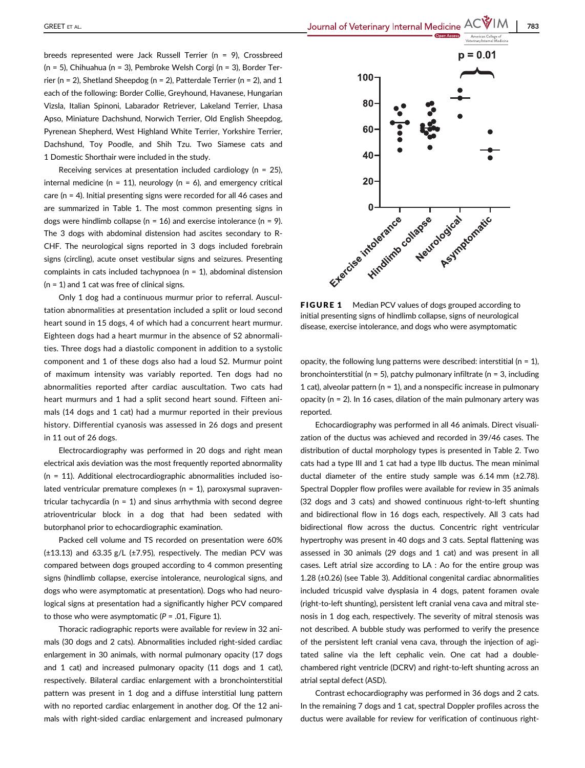GREET ET AL. 783

breeds represented were Jack Russell Terrier (n = 9), Crossbreed (n = 5), Chihuahua (n = 3), Pembroke Welsh Corgi (n = 3), Border Terrier (n = 2), Shetland Sheepdog (n = 2), Patterdale Terrier (n = 2), and 1 each of the following: Border Collie, Greyhound, Havanese, Hungarian Vizsla, Italian Spinoni, Labarador Retriever, Lakeland Terrier, Lhasa Apso, Miniature Dachshund, Norwich Terrier, Old English Sheepdog, Pyrenean Shepherd, West Highland White Terrier, Yorkshire Terrier, Dachshund, Toy Poodle, and Shih Tzu. Two Siamese cats and 1 Domestic Shorthair were included in the study.

Receiving services at presentation included cardiology (n = 25), internal medicine ( $n = 11$ ), neurology ( $n = 6$ ), and emergency critical care (n = 4). Initial presenting signs were recorded for all 46 cases and are summarized in Table 1. The most common presenting signs in dogs were hindlimb collapse ( $n = 16$ ) and exercise intolerance ( $n = 9$ ). The 3 dogs with abdominal distension had ascites secondary to R-CHF. The neurological signs reported in 3 dogs included forebrain signs (circling), acute onset vestibular signs and seizures. Presenting complaints in cats included tachypnoea ( $n = 1$ ), abdominal distension  $(n = 1)$  and 1 cat was free of clinical signs.

Only 1 dog had a continuous murmur prior to referral. Auscultation abnormalities at presentation included a split or loud second heart sound in 15 dogs, 4 of which had a concurrent heart murmur. Eighteen dogs had a heart murmur in the absence of S2 abnormalities. Three dogs had a diastolic component in addition to a systolic component and 1 of these dogs also had a loud S2. Murmur point of maximum intensity was variably reported. Ten dogs had no abnormalities reported after cardiac auscultation. Two cats had heart murmurs and 1 had a split second heart sound. Fifteen animals (14 dogs and 1 cat) had a murmur reported in their previous history. Differential cyanosis was assessed in 26 dogs and present in 11 out of 26 dogs.

Electrocardiography was performed in 20 dogs and right mean electrical axis deviation was the most frequently reported abnormality (n = 11). Additional electrocardiographic abnormalities included isolated ventricular premature complexes ( $n = 1$ ), paroxysmal supraventricular tachycardia ( $n = 1$ ) and sinus arrhythmia with second degree atrioventricular block in a dog that had been sedated with butorphanol prior to echocardiographic examination.

Packed cell volume and TS recorded on presentation were 60%  $(\pm 13.13)$  and 63.35 g/L  $(\pm 7.95)$ , respectively. The median PCV was compared between dogs grouped according to 4 common presenting signs (hindlimb collapse, exercise intolerance, neurological signs, and dogs who were asymptomatic at presentation). Dogs who had neurological signs at presentation had a significantly higher PCV compared to those who were asymptomatic  $(P = .01,$  Figure 1).

Thoracic radiographic reports were available for review in 32 animals (30 dogs and 2 cats). Abnormalities included right-sided cardiac enlargement in 30 animals, with normal pulmonary opacity (17 dogs and 1 cat) and increased pulmonary opacity (11 dogs and 1 cat), respectively. Bilateral cardiac enlargement with a bronchointerstitial pattern was present in 1 dog and a diffuse interstitial lung pattern with no reported cardiac enlargement in another dog. Of the 12 animals with right-sided cardiac enlargement and increased pulmonary



FIGURE 1 Median PCV values of dogs grouped according to initial presenting signs of hindlimb collapse, signs of neurological disease, exercise intolerance, and dogs who were asymptomatic

opacity, the following lung patterns were described: interstitial ( $n = 1$ ), bronchointerstitial ( $n = 5$ ), patchy pulmonary infiltrate ( $n = 3$ , including 1 cat), alveolar pattern ( $n = 1$ ), and a nonspecific increase in pulmonary opacity ( $n = 2$ ). In 16 cases, dilation of the main pulmonary artery was reported.

Echocardiography was performed in all 46 animals. Direct visualization of the ductus was achieved and recorded in 39/46 cases. The distribution of ductal morphology types is presented in Table 2. Two cats had a type III and 1 cat had a type IIb ductus. The mean minimal ductal diameter of the entire study sample was  $6.14$  mm ( $\pm$ 2.78). Spectral Doppler flow profiles were available for review in 35 animals (32 dogs and 3 cats) and showed continuous right-to-left shunting and bidirectional flow in 16 dogs each, respectively. All 3 cats had bidirectional flow across the ductus. Concentric right ventricular hypertrophy was present in 40 dogs and 3 cats. Septal flattening was assessed in 30 animals (29 dogs and 1 cat) and was present in all cases. Left atrial size according to LA : Ao for the entire group was 1.28 (±0.26) (see Table 3). Additional congenital cardiac abnormalities included tricuspid valve dysplasia in 4 dogs, patent foramen ovale (right-to-left shunting), persistent left cranial vena cava and mitral stenosis in 1 dog each, respectively. The severity of mitral stenosis was not described. A bubble study was performed to verify the presence of the persistent left cranial vena cava, through the injection of agitated saline via the left cephalic vein. One cat had a doublechambered right ventricle (DCRV) and right-to-left shunting across an atrial septal defect (ASD).

Contrast echocardiography was performed in 36 dogs and 2 cats. In the remaining 7 dogs and 1 cat, spectral Doppler profiles across the ductus were available for review for verification of continuous right-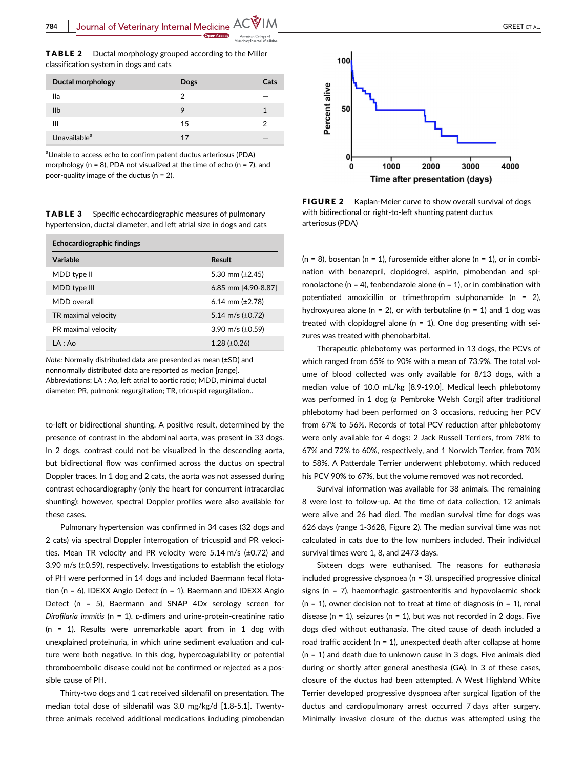TABLE 2 Ductal morphology grouped according to the Miller classification system in dogs and cats

| Ductal morphology        | <b>Dogs</b> | Cats |
|--------------------------|-------------|------|
| lla                      | 2           |      |
| IIb                      | g           |      |
| Ш                        | 15          |      |
| Unavailable <sup>a</sup> | 17          |      |

<sup>a</sup>Unable to access echo to confirm patent ductus arteriosus (PDA) morphology ( $n = 8$ ), PDA not visualized at the time of echo ( $n = 7$ ), and poor-quality image of the ductus (n = 2).

TABLE 3 Specific echocardiographic measures of pulmonary hypertension, ductal diameter, and left atrial size in dogs and cats

| Echocardiographic findings |                       |  |
|----------------------------|-----------------------|--|
| Variable                   | Result                |  |
| MDD type II                | 5.30 mm $(\pm 2.45)$  |  |
| MDD type III               | 6.85 mm [4.90-8.87]   |  |
| MDD overall                | 6.14 mm $(\pm 2.78)$  |  |
| TR maximal velocity        | 5.14 m/s $(\pm 0.72)$ |  |
| PR maximal velocity        | 3.90 m/s $(\pm 0.59)$ |  |
| IA: A <sub>0</sub>         | $1.28 (\pm 0.26)$     |  |

Note: Normally distributed data are presented as mean (±SD) and nonnormally distributed data are reported as median [range]. Abbreviations: LA : Ao, left atrial to aortic ratio; MDD, minimal ductal diameter; PR, pulmonic regurgitation; TR, tricuspid regurgitation..

to-left or bidirectional shunting. A positive result, determined by the presence of contrast in the abdominal aorta, was present in 33 dogs. In 2 dogs, contrast could not be visualized in the descending aorta, but bidirectional flow was confirmed across the ductus on spectral Doppler traces. In 1 dog and 2 cats, the aorta was not assessed during contrast echocardiography (only the heart for concurrent intracardiac shunting); however, spectral Doppler profiles were also available for these cases.

Pulmonary hypertension was confirmed in 34 cases (32 dogs and 2 cats) via spectral Doppler interrogation of tricuspid and PR velocities. Mean TR velocity and PR velocity were 5.14 m/s (±0.72) and 3.90 m/s (±0.59), respectively. Investigations to establish the etiology of PH were performed in 14 dogs and included Baermann fecal flotation (n = 6), IDEXX Angio Detect (n = 1), Baermann and IDEXX Angio Detect (n = 5), Baermann and SNAP 4Dx serology screen for Dirofilaria immitis ( $n = 1$ ), p-dimers and urine-protein-creatinine ratio (n = 1). Results were unremarkable apart from in 1 dog with unexplained proteinuria, in which urine sediment evaluation and culture were both negative. In this dog, hypercoagulability or potential thromboembolic disease could not be confirmed or rejected as a possible cause of PH.

Thirty-two dogs and 1 cat received sildenafil on presentation. The median total dose of sildenafil was 3.0 mg/kg/d [1.8-5.1]. Twentythree animals received additional medications including pimobendan



FIGURE 2 Kaplan-Meier curve to show overall survival of dogs with bidirectional or right-to-left shunting patent ductus arteriosus (PDA)

 $(n = 8)$ , bosentan  $(n = 1)$ , furosemide either alone  $(n = 1)$ , or in combination with benazepril, clopidogrel, aspirin, pimobendan and spironolactone (n = 4), fenbendazole alone (n = 1), or in combination with potentiated amoxicillin or trimethroprim sulphonamide ( $n = 2$ ), hydroxyurea alone ( $n = 2$ ), or with terbutaline ( $n = 1$ ) and 1 dog was treated with clopidogrel alone ( $n = 1$ ). One dog presenting with seizures was treated with phenobarbital.

Therapeutic phlebotomy was performed in 13 dogs, the PCVs of which ranged from 65% to 90% with a mean of 73.9%. The total volume of blood collected was only available for 8/13 dogs, with a median value of 10.0 mL/kg [8.9-19.0]. Medical leech phlebotomy was performed in 1 dog (a Pembroke Welsh Corgi) after traditional phlebotomy had been performed on 3 occasions, reducing her PCV from 67% to 56%. Records of total PCV reduction after phlebotomy were only available for 4 dogs: 2 Jack Russell Terriers, from 78% to 67% and 72% to 60%, respectively, and 1 Norwich Terrier, from 70% to 58%. A Patterdale Terrier underwent phlebotomy, which reduced his PCV 90% to 67%, but the volume removed was not recorded.

Survival information was available for 38 animals. The remaining 8 were lost to follow-up. At the time of data collection, 12 animals were alive and 26 had died. The median survival time for dogs was 626 days (range 1-3628, Figure 2). The median survival time was not calculated in cats due to the low numbers included. Their individual survival times were 1, 8, and 2473 days.

Sixteen dogs were euthanised. The reasons for euthanasia included progressive dyspnoea ( $n = 3$ ), unspecified progressive clinical signs (n = 7), haemorrhagic gastroenteritis and hypovolaemic shock ( $n = 1$ ), owner decision not to treat at time of diagnosis ( $n = 1$ ), renal disease ( $n = 1$ ), seizures ( $n = 1$ ), but was not recorded in 2 dogs. Five dogs died without euthanasia. The cited cause of death included a road traffic accident ( $n = 1$ ), unexpected death after collapse at home (n = 1) and death due to unknown cause in 3 dogs. Five animals died during or shortly after general anesthesia (GA). In 3 of these cases, closure of the ductus had been attempted. A West Highland White Terrier developed progressive dyspnoea after surgical ligation of the ductus and cardiopulmonary arrest occurred 7 days after surgery. Minimally invasive closure of the ductus was attempted using the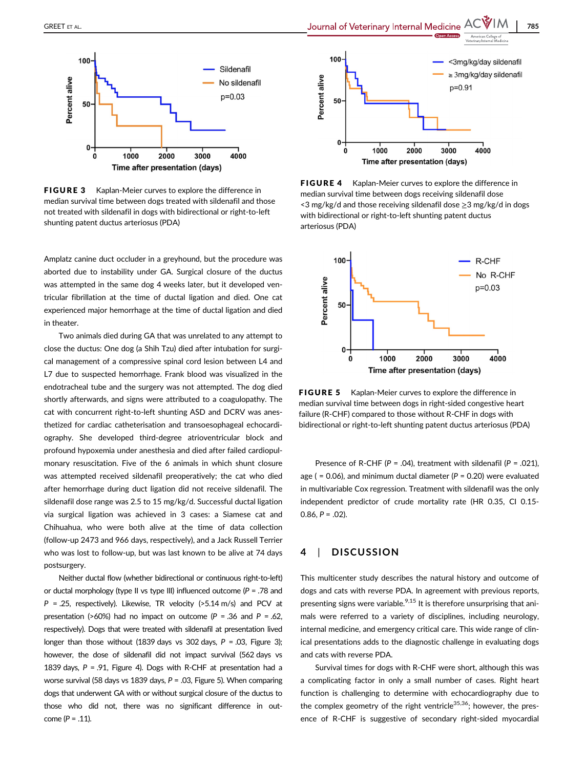

FIGURE 3 Kaplan-Meier curves to explore the difference in median survival time between dogs treated with sildenafil and those not treated with sildenafil in dogs with bidirectional or right-to-left shunting patent ductus arteriosus (PDA)

Amplatz canine duct occluder in a greyhound, but the procedure was aborted due to instability under GA. Surgical closure of the ductus was attempted in the same dog 4 weeks later, but it developed ventricular fibrillation at the time of ductal ligation and died. One cat experienced major hemorrhage at the time of ductal ligation and died in theater.

Two animals died during GA that was unrelated to any attempt to close the ductus: One dog (a Shih Tzu) died after intubation for surgical management of a compressive spinal cord lesion between L4 and L7 due to suspected hemorrhage. Frank blood was visualized in the endotracheal tube and the surgery was not attempted. The dog died shortly afterwards, and signs were attributed to a coagulopathy. The cat with concurrent right-to-left shunting ASD and DCRV was anesthetized for cardiac catheterisation and transoesophageal echocardiography. She developed third-degree atrioventricular block and profound hypoxemia under anesthesia and died after failed cardiopulmonary resuscitation. Five of the 6 animals in which shunt closure was attempted received sildenafil preoperatively; the cat who died after hemorrhage during duct ligation did not receive sildenafil. The sildenafil dose range was 2.5 to 15 mg/kg/d. Successful ductal ligation via surgical ligation was achieved in 3 cases: a Siamese cat and Chihuahua, who were both alive at the time of data collection (follow-up 2473 and 966 days, respectively), and a Jack Russell Terrier who was lost to follow-up, but was last known to be alive at 74 days postsurgery.

Neither ductal flow (whether bidirectional or continuous right-to-left) or ductal morphology (type II vs type III) influenced outcome ( $P = .78$  and  $P = 0.25$ , respectively). Likewise, TR velocity (>5.14 m/s) and PCV at presentation (>60%) had no impact on outcome ( $P = .36$  and  $P = .62$ , respectively). Dogs that were treated with sildenafil at presentation lived longer than those without (1839 days vs 302 days,  $P = .03$ , Figure 3); however, the dose of sildenafil did not impact survival (562 days vs 1839 days,  $P = .91$ , Figure 4). Dogs with R-CHF at presentation had a worse survival (58 days vs 1839 days, P = .03, Figure 5). When comparing dogs that underwent GA with or without surgical closure of the ductus to those who did not, there was no significant difference in outcome ( $P = .11$ ).



**FIGURE 4** Kaplan-Meier curves to explore the difference in median survival time between dogs receiving sildenafil dose <3 mg/kg/d and those receiving sildenafil dose ≥3 mg/kg/d in dogs with bidirectional or right-to-left shunting patent ductus arteriosus (PDA)



FIGURE 5 Kaplan-Meier curves to explore the difference in median survival time between dogs in right-sided congestive heart failure (R-CHF) compared to those without R-CHF in dogs with bidirectional or right-to-left shunting patent ductus arteriosus (PDA)

Presence of R-CHF ( $P = .04$ ), treatment with sildenafil ( $P = .021$ ), age ( =  $0.06$ ), and minimum ductal diameter ( $P = 0.20$ ) were evaluated in multivariable Cox regression. Treatment with sildenafil was the only independent predictor of crude mortality rate (HR 0.35, CI 0.15-  $0.86, P = .02$ ).

## 4 | DISCUSSION

This multicenter study describes the natural history and outcome of dogs and cats with reverse PDA. In agreement with previous reports, presenting signs were variable.<sup>9,15</sup> It is therefore unsurprising that animals were referred to a variety of disciplines, including neurology, internal medicine, and emergency critical care. This wide range of clinical presentations adds to the diagnostic challenge in evaluating dogs and cats with reverse PDA.

Survival times for dogs with R-CHF were short, although this was a complicating factor in only a small number of cases. Right heart function is challenging to determine with echocardiography due to the complex geometry of the right ventricle<sup>35,36</sup>; however, the presence of R-CHF is suggestive of secondary right-sided myocardial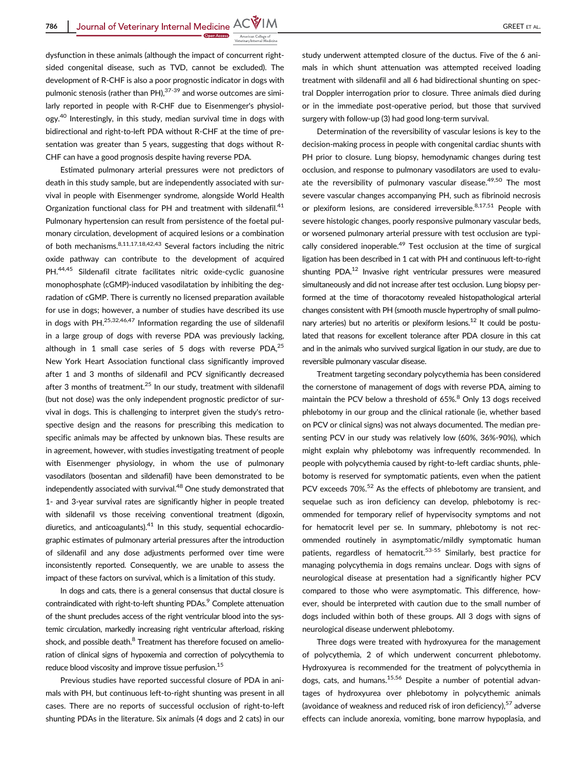dysfunction in these animals (although the impact of concurrent rightsided congenital disease, such as TVD, cannot be excluded). The development of R-CHF is also a poor prognostic indicator in dogs with pulmonic stenosis (rather than PH), $^{37-39}$  and worse outcomes are similarly reported in people with R-CHF due to Eisenmenger's physiology.40 Interestingly, in this study, median survival time in dogs with bidirectional and right-to-left PDA without R-CHF at the time of presentation was greater than 5 years, suggesting that dogs without R-CHF can have a good prognosis despite having reverse PDA.

Estimated pulmonary arterial pressures were not predictors of death in this study sample, but are independently associated with survival in people with Eisenmenger syndrome, alongside World Health Organization functional class for PH and treatment with sildenafil.<sup>41</sup> Pulmonary hypertension can result from persistence of the foetal pulmonary circulation, development of acquired lesions or a combination of both mechanisms.8,11,17,18,42,43 Several factors including the nitric oxide pathway can contribute to the development of acquired PH.44,45 Sildenafil citrate facilitates nitric oxide-cyclic guanosine monophosphate (cGMP)-induced vasodilatation by inhibiting the degradation of cGMP. There is currently no licensed preparation available for use in dogs; however, a number of studies have described its use in dogs with PH.<sup>25,32,46,47</sup> Information regarding the use of sildenafil in a large group of dogs with reverse PDA was previously lacking, although in 1 small case series of 5 dogs with reverse PDA, $^{25}$ New York Heart Association functional class significantly improved after 1 and 3 months of sildenafil and PCV significantly decreased after 3 months of treatment.<sup>25</sup> In our study, treatment with sildenafil (but not dose) was the only independent prognostic predictor of survival in dogs. This is challenging to interpret given the study's retrospective design and the reasons for prescribing this medication to specific animals may be affected by unknown bias. These results are in agreement, however, with studies investigating treatment of people with Eisenmenger physiology, in whom the use of pulmonary vasodilators (bosentan and sildenafil) have been demonstrated to be independently associated with survival.<sup>48</sup> One study demonstrated that 1- and 3-year survival rates are significantly higher in people treated with sildenafil vs those receiving conventional treatment (digoxin, diuretics, and anticoagulants). $41$  In this study, sequential echocardiographic estimates of pulmonary arterial pressures after the introduction of sildenafil and any dose adjustments performed over time were inconsistently reported. Consequently, we are unable to assess the impact of these factors on survival, which is a limitation of this study.

In dogs and cats, there is a general consensus that ductal closure is contraindicated with right-to-left shunting PDAs.<sup>9</sup> Complete attenuation of the shunt precludes access of the right ventricular blood into the systemic circulation, markedly increasing right ventricular afterload, risking shock, and possible death.<sup>8</sup> Treatment has therefore focused on amelioration of clinical signs of hypoxemia and correction of polycythemia to reduce blood viscosity and improve tissue perfusion.<sup>15</sup>

Previous studies have reported successful closure of PDA in animals with PH, but continuous left-to-right shunting was present in all cases. There are no reports of successful occlusion of right-to-left shunting PDAs in the literature. Six animals (4 dogs and 2 cats) in our study underwent attempted closure of the ductus. Five of the 6 animals in which shunt attenuation was attempted received loading treatment with sildenafil and all 6 had bidirectional shunting on spectral Doppler interrogation prior to closure. Three animals died during or in the immediate post-operative period, but those that survived surgery with follow-up (3) had good long-term survival.

Determination of the reversibility of vascular lesions is key to the decision-making process in people with congenital cardiac shunts with PH prior to closure. Lung biopsy, hemodynamic changes during test occlusion, and response to pulmonary vasodilators are used to evaluate the reversibility of pulmonary vascular disease. $49,50$  The most severe vascular changes accompanying PH, such as fibrinoid necrosis or plexiform lesions, are considered irreversible.<sup>8,17,51</sup> People with severe histologic changes, poorly responsive pulmonary vascular beds, or worsened pulmonary arterial pressure with test occlusion are typically considered inoperable.<sup>49</sup> Test occlusion at the time of surgical ligation has been described in 1 cat with PH and continuous left-to-right shunting PDA.<sup>12</sup> Invasive right ventricular pressures were measured simultaneously and did not increase after test occlusion. Lung biopsy performed at the time of thoracotomy revealed histopathological arterial changes consistent with PH (smooth muscle hypertrophy of small pulmonary arteries) but no arteritis or plexiform lesions.<sup>12</sup> It could be postulated that reasons for excellent tolerance after PDA closure in this cat and in the animals who survived surgical ligation in our study, are due to reversible pulmonary vascular disease.

Treatment targeting secondary polycythemia has been considered the cornerstone of management of dogs with reverse PDA, aiming to maintain the PCV below a threshold of 65%.<sup>8</sup> Only 13 dogs received phlebotomy in our group and the clinical rationale (ie, whether based on PCV or clinical signs) was not always documented. The median presenting PCV in our study was relatively low (60%, 36%-90%), which might explain why phlebotomy was infrequently recommended. In people with polycythemia caused by right-to-left cardiac shunts, phlebotomy is reserved for symptomatic patients, even when the patient PCV exceeds 70%.<sup>52</sup> As the effects of phlebotomy are transient, and sequelae such as iron deficiency can develop, phlebotomy is recommended for temporary relief of hypervisocity symptoms and not for hematocrit level per se. In summary, phlebotomy is not recommended routinely in asymptomatic/mildly symptomatic human patients, regardless of hematocrit.<sup>53-55</sup> Similarly, best practice for managing polycythemia in dogs remains unclear. Dogs with signs of neurological disease at presentation had a significantly higher PCV compared to those who were asymptomatic. This difference, however, should be interpreted with caution due to the small number of dogs included within both of these groups. All 3 dogs with signs of neurological disease underwent phlebotomy.

Three dogs were treated with hydroxyurea for the management of polycythemia, 2 of which underwent concurrent phlebotomy. Hydroxyurea is recommended for the treatment of polycythemia in dogs, cats, and humans.<sup>15,56</sup> Despite a number of potential advantages of hydroxyurea over phlebotomy in polycythemic animals (avoidance of weakness and reduced risk of iron deficiency),  $57$  adverse effects can include anorexia, vomiting, bone marrow hypoplasia, and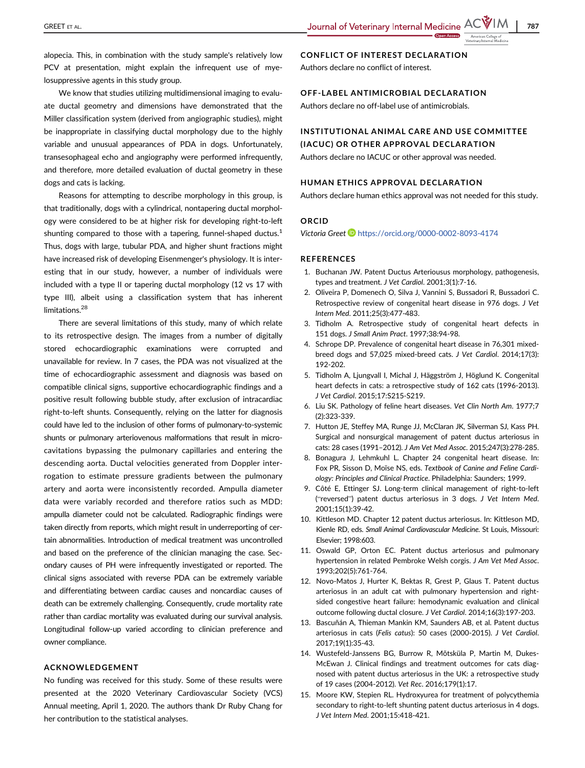alopecia. This, in combination with the study sample's relatively low PCV at presentation, might explain the infrequent use of myelosuppressive agents in this study group.

We know that studies utilizing multidimensional imaging to evaluate ductal geometry and dimensions have demonstrated that the Miller classification system (derived from angiographic studies), might be inappropriate in classifying ductal morphology due to the highly variable and unusual appearances of PDA in dogs. Unfortunately, transesophageal echo and angiography were performed infrequently, and therefore, more detailed evaluation of ductal geometry in these dogs and cats is lacking.

Reasons for attempting to describe morphology in this group, is that traditionally, dogs with a cylindrical, nontapering ductal morphology were considered to be at higher risk for developing right-to-left shunting compared to those with a tapering, funnel-shaped ductus. $<sup>1</sup>$ </sup> Thus, dogs with large, tubular PDA, and higher shunt fractions might have increased risk of developing Eisenmenger's physiology. It is interesting that in our study, however, a number of individuals were included with a type II or tapering ductal morphology (12 vs 17 with type III), albeit using a classification system that has inherent limitations.<sup>28</sup>

There are several limitations of this study, many of which relate to its retrospective design. The images from a number of digitally stored echocardiographic examinations were corrupted and unavailable for review. In 7 cases, the PDA was not visualized at the time of echocardiographic assessment and diagnosis was based on compatible clinical signs, supportive echocardiographic findings and a positive result following bubble study, after exclusion of intracardiac right-to-left shunts. Consequently, relying on the latter for diagnosis could have led to the inclusion of other forms of pulmonary-to-systemic shunts or pulmonary arteriovenous malformations that result in microcavitations bypassing the pulmonary capillaries and entering the descending aorta. Ductal velocities generated from Doppler interrogation to estimate pressure gradients between the pulmonary artery and aorta were inconsistently recorded. Ampulla diameter data were variably recorded and therefore ratios such as MDD: ampulla diameter could not be calculated. Radiographic findings were taken directly from reports, which might result in underreporting of certain abnormalities. Introduction of medical treatment was uncontrolled and based on the preference of the clinician managing the case. Secondary causes of PH were infrequently investigated or reported. The clinical signs associated with reverse PDA can be extremely variable and differentiating between cardiac causes and noncardiac causes of death can be extremely challenging. Consequently, crude mortality rate rather than cardiac mortality was evaluated during our survival analysis. Longitudinal follow-up varied according to clinician preference and owner compliance.

#### ACKNOWLEDGEMENT

No funding was received for this study. Some of these results were presented at the 2020 Veterinary Cardiovascular Society (VCS) Annual meeting, April 1, 2020. The authors thank Dr Ruby Chang for her contribution to the statistical analyses.

## CONFLICT OF INTEREST DECLARATION

Authors declare no conflict of interest.

## OFF-LABEL ANTIMICROBIAL DECLARATION

Authors declare no off-label use of antimicrobials.

## INSTITUTIONAL ANIMAL CARE AND USE COMMITTEE (IACUC) OR OTHER APPROVAL DECLARATION

Authors declare no IACUC or other approval was needed.

#### HUMAN ETHICS APPROVAL DECLARATION

Authors declare human ethics approval was not needed for this study.

## ORCID

Victoria Greet <https://orcid.org/0000-0002-8093-4174>

#### REFERENCES

- 1. Buchanan JW. Patent Ductus Arteriousus morphology, pathogenesis, types and treatment. J Vet Cardiol. 2001;3(1):7-16.
- 2. Oliveira P, Domenech O, Silva J, Vannini S, Bussadori R, Bussadori C. Retrospective review of congenital heart disease in 976 dogs. J Vet Intern Med. 2011;25(3):477-483.
- 3. Tidholm A. Retrospective study of congenital heart defects in 151 dogs. J Small Anim Pract. 1997;38:94-98.
- 4. Schrope DP. Prevalence of congenital heart disease in 76,301 mixedbreed dogs and 57,025 mixed-breed cats. J Vet Cardiol. 2014;17(3): 192-202.
- 5. Tidholm A, Ljungvall I, Michal J, Häggström J, Höglund K. Congenital heart defects in cats: a retrospective study of 162 cats (1996-2013). J Vet Cardiol. 2015;17:S215-S219.
- 6. Liu SK. Pathology of feline heart diseases. Vet Clin North Am. 1977;7 (2):323-339.
- 7. Hutton JE, Steffey MA, Runge JJ, McClaran JK, Silverman SJ, Kass PH. Surgical and nonsurgical management of patent ductus arteriosus in cats: 28 cases (1991–2012). J Am Vet Med Assoc. 2015;247(3):278-285.
- 8. Bonagura J, Lehmkuhl L. Chapter 24 congenital heart disease. In: Fox PR, Sisson D, Moïse NS, eds. Textbook of Canine and Feline Cardiology: Principles and Clinical Practice. Philadelphia: Saunders; 1999.
- 9. Côté E, Ettinger SJ. Long-term clinical management of right-to-left ("reversed") patent ductus arteriosus in 3 dogs. J Vet Intern Med. 2001;15(1):39-42.
- 10. Kittleson MD. Chapter 12 patent ductus arteriosus. In: Kittleson MD, Kienle RD, eds. Small Animal Cardiovascular Medicine. St Louis, Missouri: Elsevier; 1998:603.
- 11. Oswald GP, Orton EC. Patent ductus arteriosus and pulmonary hypertension in related Pembroke Welsh corgis. J Am Vet Med Assoc. 1993;202(5):761-764.
- 12. Novo-Matos J, Hurter K, Bektas R, Grest P, Glaus T. Patent ductus arteriosus in an adult cat with pulmonary hypertension and rightsided congestive heart failure: hemodynamic evaluation and clinical outcome following ductal closure. J Vet Cardiol. 2014;16(3):197-203.
- 13. Bascuñán A, Thieman Mankin KM, Saunders AB, et al. Patent ductus arteriosus in cats (Felis catus): 50 cases (2000-2015). J Vet Cardiol. 2017;19(1):35-43.
- 14. Wustefeld-Janssens BG, Burrow R, Mõtsküla P, Martin M, Dukes-McEwan J. Clinical findings and treatment outcomes for cats diagnosed with patent ductus arteriosus in the UK: a retrospective study of 19 cases (2004-2012). Vet Rec. 2016;179(1):17.
- 15. Moore KW, Stepien RL. Hydroxyurea for treatment of polycythemia secondary to right-to-left shunting patent ductus arteriosus in 4 dogs. J Vet Intern Med. 2001;15:418-421.